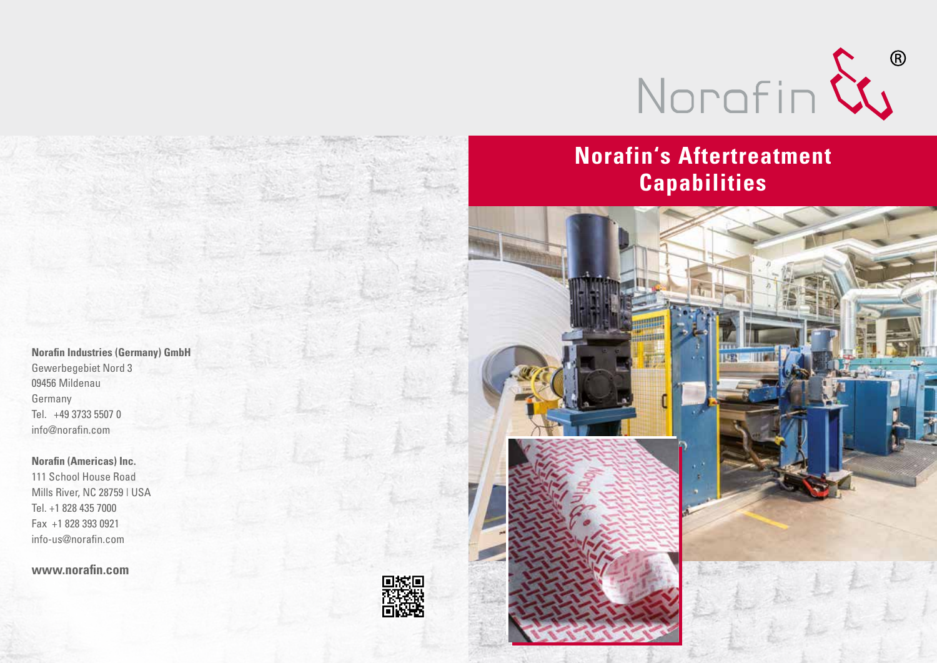

## **Norafin's Aftertreatment Capabilities**



**Norafin Industries (Germany) GmbH** Gewerbegebiet Nord 3 09456 Mildenau Germany Tel. +49 3733 5507 0 info@norafin.com

**Norafin (Americas) Inc.**

111 School House Road Mills River, NC 28759 | USA Tel. +1 828 435 7000 Fax +1 828 393 0921 info-us@norafin.com

**www.norafin.com**